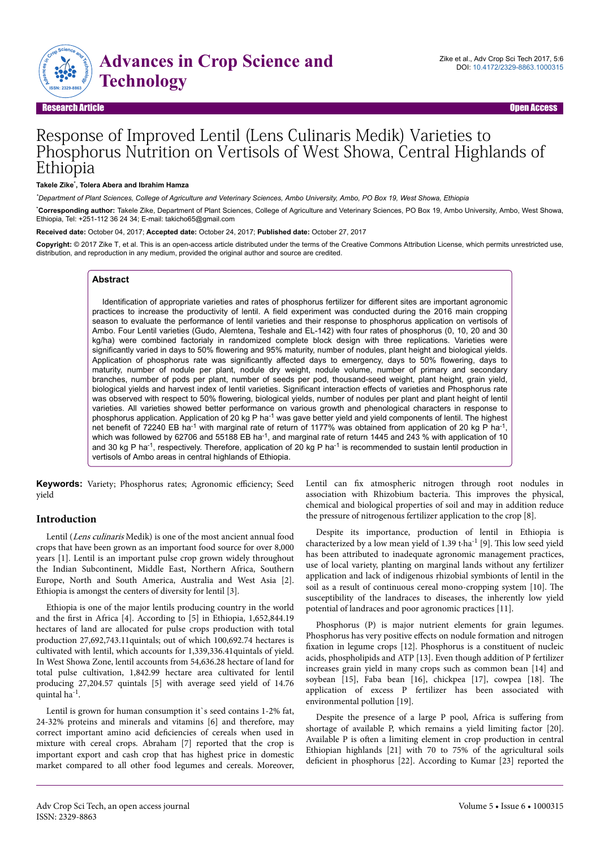

Research Article Open Access

# Response of Improved Lentil (Lens Culinaris Medik) Varieties to Phosphorus Nutrition on Vertisols of West Showa, Central Highlands of Ethiopia

#### **Takele Zike**\* **, Tolera Abera and Ibrahim Hamza**

*\*Department of Plant Sciences, College of Agriculture and Veterinary Sciences, Ambo University, Ambo, PO Box 19, West Showa, Ethiopia*

\***Corresponding author:** Takele Zike, Department of Plant Sciences, College of Agriculture and Veterinary Sciences, PO Box 19, Ambo University, Ambo, West Showa, Ethiopia, Tel: +251-112 36 24 34; E-mail: takicho65@gmail.com

**Received date:** October 04, 2017; **Accepted date:** October 24, 2017; **Published date:** October 27, 2017

Copyright: © 2017 Zike T, et al. This is an open-access article distributed under the terms of the Creative Commons Attribution License, which permits unrestricted use, distribution, and reproduction in any medium, provided the original author and source are credited.

### **Abstract**

Identification of appropriate varieties and rates of phosphorus fertilizer for different sites are important agronomic practices to increase the productivity of lentil. A field experiment was conducted during the 2016 main cropping season to evaluate the performance of lentil varieties and their response to phosphorus application on vertisols of Ambo. Four Lentil varieties (Gudo, Alemtena, Teshale and EL-142) with four rates of phosphorus (0, 10, 20 and 30 kg/ha) were combined factorialy in randomized complete block design with three replications. Varieties were significantly varied in days to 50% flowering and 95% maturity, number of nodules, plant height and biological yields. Application of phosphorus rate was significantly affected days to emergency, days to 50% flowering, days to maturity, number of nodule per plant, nodule dry weight, nodule volume, number of primary and secondary branches, number of pods per plant, number of seeds per pod, thousand-seed weight, plant height, grain yield, biological yields and harvest index of lentil varieties. Significant interaction effects of varieties and Phosphorus rate was observed with respect to 50% flowering, biological yields, number of nodules per plant and plant height of lentil varieties. All varieties showed better performance on various growth and phenological characters in response to phosphorus application. Application of 20 kg P ha-1 was gave better yield and yield components of lentil. The highest net benefit of 72240 EB ha<sup>-1</sup> with marginal rate of return of 1177% was obtained from application of 20 kg P ha<sup>-1</sup>, which was followed by 62706 and 55188 EB ha<sup>-1</sup>, and marginal rate of return 1445 and 243 % with application of 10 and 30 kg P ha<sup>-1</sup>, respectively. Therefore, application of 20 kg P ha<sup>-1</sup> is recommended to sustain lentil production in vertisols of Ambo areas in central highlands of Ethiopia.

**Keywords:** Variety; Phosphorus rates; Agronomic efficiency; Seed yield

# **Introduction**

Lentil (Lens culinaris Medik) is one of the most ancient annual food crops that have been grown as an important food source for over 8,000 years [1]. Lentil is an important pulse crop grown widely throughout the Indian Subcontinent, Middle East, Northern Africa, Southern Europe, North and South America, Australia and West Asia [2]. Ethiopia is amongst the centers of diversity for lentil [3].

Ethiopia is one of the major lentils producing country in the world and the first in Africa [4]. According to [5] in Ethiopia, 1,652,844.19 hectares of land are allocated for pulse crops production with total production 27,692,743.11quintals; out of which 100,692.74 hectares is cultivated with lentil, which accounts for 1,339,336.41quintals of yield. In West Showa Zone, lentil accounts from 54,636.28 hectare of land for total pulse cultivation, 1,842.99 hectare area cultivated for lentil producing 27,204.57 quintals [5] with average seed yield of 14.76 quintal ha<sup>-1</sup>.

Lentil is grown for human consumption it's seed contains 1-2% fat, 24-32% proteins and minerals and vitamins [6] and therefore, may correct important amino acid deficiencies of cereals when used in mixture with cereal crops. Abraham [7] reported that the crop is important export and cash crop that has highest price in domestic market compared to all other food legumes and cereals. Moreover,

Lentil can fix atmospheric nitrogen through root nodules in association with Rhizobium bacteria. This improves the physical, chemical and biological properties of soil and may in addition reduce the pressure of nitrogenous fertilizer application to the crop [8].

Despite its importance, production of lentil in Ethiopia is characterized by a low mean yield of 1.39 t $\cdot$ ha<sup>-1</sup> [9]. This low seed yield has been attributed to inadequate agronomic management practices, use of local variety, planting on marginal lands without any fertilizer application and lack of indigenous rhizobial symbionts of lentil in the soil as a result of continuous cereal mono-cropping system [10]. Нe susceptibility of the landraces to diseases, the inherently low yield potential of landraces and poor agronomic practices [11].

Phosphorus (P) is major nutrient elements for grain legumes. Phosphorus has very positive effects on nodule formation and nitrogen fixation in legume crops  $[12]$ . Phosphorus is a constituent of nucleic acids, phospholipids and ATP [13]. Even though addition of P fertilizer increases grain yield in many crops such as common bean [14] and soybean [15], Faba bean [16], chickpea [17], cowpea [18]. Нe application of excess P fertilizer has been associated with environmental pollution [19].

Despite the presence of a large P pool, Africa is suffering from shortage of available P, which remains a yield limiting factor [20]. Available P is often a limiting element in crop production in central Ethiopian highlands [21] with 70 to 75% of the agricultural soils deficient in phosphorus [22]. According to Kumar [23] reported the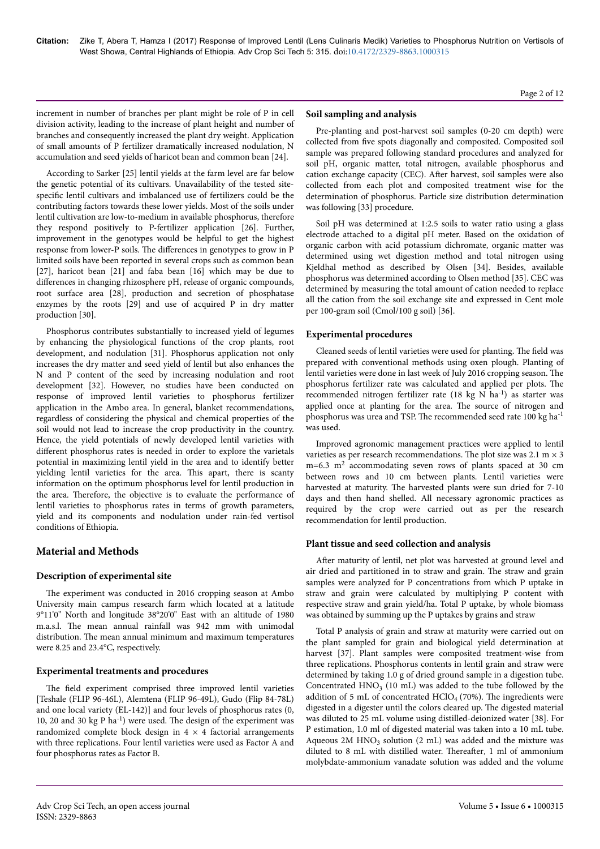Page 2 of 12

increment in number of branches per plant might be role of P in cell division activity, leading to the increase of plant height and number of branches and consequently increased the plant dry weight. Application of small amounts of P fertilizer dramatically increased nodulation, N accumulation and seed yields of haricot bean and common bean [24].

According to Sarker [25] lentil yields at the farm level are far below the genetic potential of its cultivars. Unavailability of the tested sitespecific lentil cultivars and imbalanced use of fertilizers could be the contributing factors towards these lower yields. Most of the soils under lentil cultivation are low-to-medium in available phosphorus, therefore they respond positively to P-fertilizer application [26]. Further, improvement in the genotypes would be helpful to get the highest response from lower-P soils. The differences in genotypes to grow in P limited soils have been reported in several crops such as common bean [27], haricot bean [21] and faba bean [16] which may be due to differences in changing rhizosphere pH, release of organic compounds, root surface area [28], production and secretion of phosphatase enzymes by the roots [29] and use of acquired P in dry matter production [30].

Phosphorus contributes substantially to increased yield of legumes by enhancing the physiological functions of the crop plants, root development, and nodulation [31]. Phosphorus application not only increases the dry matter and seed yield of lentil but also enhances the N and P content of the seed by increasing nodulation and root development [32]. However, no studies have been conducted on response of improved lentil varieties to phosphorus fertilizer application in the Ambo area. In general, blanket recommendations, regardless of considering the physical and chemical properties of the soil would not lead to increase the crop productivity in the country. Hence, the yield potentials of newly developed lentil varieties with different phosphorus rates is needed in order to explore the varietals potential in maximizing lentil yield in the area and to identify better yielding lentil varieties for the area. This apart, there is scanty information on the optimum phosphorus level for lentil production in the area. Нerefore, the objective is to evaluate the performance of lentil varieties to phosphorus rates in terms of growth parameters, yield and its components and nodulation under rain-fed vertisol conditions of Ethiopia.

# **Material and Methods**

# **Description of experimental site**

The experiment was conducted in 2016 cropping season at Ambo University main campus research farm which located at a latitude 9°11'0" North and longitude 38°20'0" East with an altitude of 1980 m.a.s.l. Нe mean annual rainfall was 942 mm with unimodal distribution. Нe mean annual minimum and maximum temperatures were 8.25 and 23.4°C, respectively.

# **Experimental treatments and procedures**

The field experiment comprised three improved lentil varieties [Teshale (FLIP 96-46L), Alemtena (FLIP 96-49L), Gudo (Flip 84-78L) and one local variety (EL-142)] and four levels of phosphorus rates (0, 10, 20 and 30 kg P ha<sup>-1</sup>) were used. The design of the experiment was randomized complete block design in  $4 \times 4$  factorial arrangements with three replications. Four lentil varieties were used as Factor A and four phosphorus rates as Factor B.

### **Soil sampling and analysis**

Pre-planting and post-harvest soil samples (0-20 cm depth) were collected from five spots diagonally and composited. Composited soil sample was prepared following standard procedures and analyzed for soil pH, organic matter, total nitrogen, available phosphorus and cation exchange capacity (CEC). After harvest, soil samples were also collected from each plot and composited treatment wise for the determination of phosphorus. Particle size distribution determination was following [33] procedure.

Soil pH was determined at 1:2.5 soils to water ratio using a glass electrode attached to a digital pH meter. Based on the oxidation of organic carbon with acid potassium dichromate, organic matter was determined using wet digestion method and total nitrogen using Kjeldhal method as described by Olsen [34]. Besides, available phosphorus was determined according to Olsen method [35]. CEC was determined by measuring the total amount of cation needed to replace all the cation from the soil exchange site and expressed in Cent mole per 100-gram soil (Cmol/100 g soil) [36].

# **Experimental procedures**

Cleaned seeds of lentil varieties were used for planting. The field was prepared with conventional methods using oxen plough. Planting of lentil varieties were done in last week of July 2016 cropping season. Нe phosphorus fertilizer rate was calculated and applied per plots. Нe recommended nitrogen fertilizer rate (18 kg N ha-1) as starter was applied once at planting for the area. Нe source of nitrogen and phosphorus was urea and TSP. The recommended seed rate 100 kg ha<sup>-1</sup> was used.

Improved agronomic management practices were applied to lentil varieties as per research recommendations. The plot size was  $2.1 \text{ m} \times 3$  $m=6.3$   $m<sup>2</sup>$  accommodating seven rows of plants spaced at 30 cm between rows and 10 cm between plants. Lentil varieties were harvested at maturity. The harvested plants were sun dried for 7-10 days and then hand shelled. All necessary agronomic practices as required by the crop were carried out as per the research recommendation for lentil production.

# **Plant tissue and seed collection and analysis**

After maturity of lentil, net plot was harvested at ground level and air dried and partitioned in to straw and grain. Нe straw and grain samples were analyzed for P concentrations from which P uptake in straw and grain were calculated by multiplying P content with respective straw and grain yield/ha. Total P uptake, by whole biomass was obtained by summing up the P uptakes by grains and straw

Total P analysis of grain and straw at maturity were carried out on the plant sampled for grain and biological yield determination at harvest [37]. Plant samples were composited treatment-wise from three replications. Phosphorus contents in lentil grain and straw were determined by taking 1.0 g of dried ground sample in a digestion tube. Concentrated  $HNO<sub>3</sub>$  (10 mL) was added to the tube followed by the addition of 5 mL of concentrated  $HClO<sub>4</sub>$  (70%). The ingredients were digested in a digester until the colors cleared up. Нe digested material was diluted to 25 mL volume using distilled-deionized water [38]. For P estimation, 1.0 ml of digested material was taken into a 10 mL tube. Aqueous  $2M HNO<sub>3</sub>$  solution (2 mL) was added and the mixture was diluted to 8 mL with distilled water. Thereafter, 1 ml of ammonium molybdate-ammonium vanadate solution was added and the volume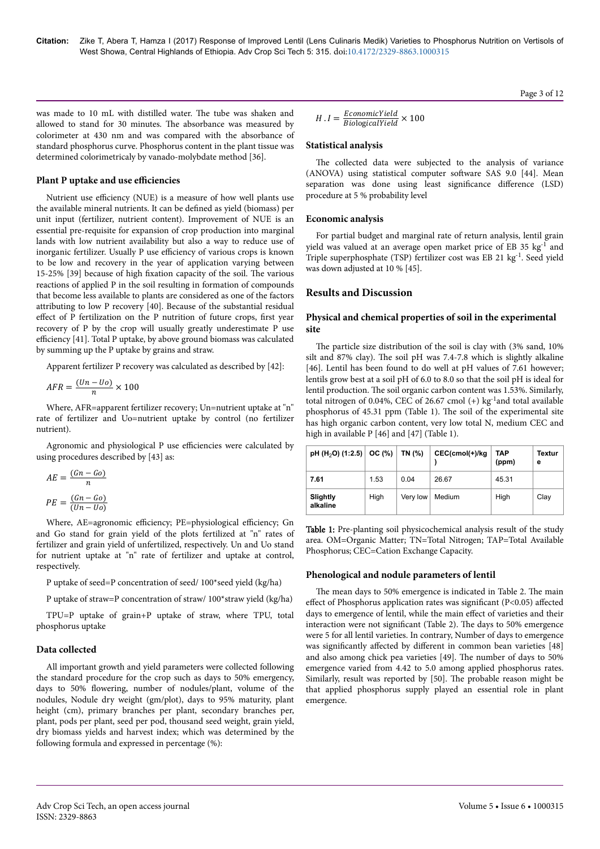Page 3 of 12

was made to 10 mL with distilled water. Нe tube was shaken and allowed to stand for 30 minutes. Нe absorbance was measured by colorimeter at 430 nm and was compared with the absorbance of standard phosphorus curve. Phosphorus content in the plant tissue was determined colorimetricaly by vanado-molybdate method [36].

#### **Plant P uptake and use efficiencies**

Nutrient use efficiency (NUE) is a measure of how well plants use the available mineral nutrients. It can be defined as yield (biomass) per unit input (fertilizer, nutrient content). Improvement of NUE is an essential pre-requisite for expansion of crop production into marginal lands with low nutrient availability but also a way to reduce use of inorganic fertilizer. Usually P use efficiency of various crops is known to be low and recovery in the year of application varying between 15-25% [39] because of high fixation capacity of the soil. The various reactions of applied P in the soil resulting in formation of compounds that become less available to plants are considered as one of the factors attributing to low P recovery [40]. Because of the substantial residual effect of P fertilization on the P nutrition of future crops, first year recovery of P by the crop will usually greatly underestimate P use efficiency  $[41]$ . Total P uptake, by above ground biomass was calculated by summing up the P uptake by grains and straw.

Apparent fertilizer P recovery was calculated as described by [42]:

$$
AFR = \frac{(Un - Uo)}{n} \times 100
$$

Where, AFR=apparent fertilizer recovery; Un=nutrient uptake at "n" rate of fertilizer and Uo=nutrient uptake by control (no fertilizer nutrient).

Agronomic and physiological P use efficiencies were calculated by using procedures described by [43] as:

$$
AE = \frac{(Gn - Go)}{n}
$$

$$
PE = \frac{(Gn - Go)}{(Un - Uo)}
$$

Where, AE=agronomic efficiency; PE=physiological efficiency; Gn and Go stand for grain yield of the plots fertilized at "n" rates of fertilizer and grain yield of unfertilized, respectively. Un and Uo stand for nutrient uptake at "n" rate of fertilizer and uptake at control, respectively.

P uptake of seed=P concentration of seed/ 100\*seed yield (kg/ha)

P uptake of straw=P concentration of straw/ 100\*straw yield (kg/ha)

TPU=P uptake of grain+P uptake of straw, where TPU, total phosphorus uptake

# **Data collected**

All important growth and yield parameters were collected following the standard procedure for the crop such as days to 50% emergency, days to 50% flowering, number of nodules/plant, volume of the nodules, Nodule dry weight (gm/plot), days to 95% maturity, plant height (cm), primary branches per plant, secondary branches per, plant, pods per plant, seed per pod, thousand seed weight, grain yield, dry biomass yields and harvest index; which was determined by the following formula and expressed in percentage (%):

$$
H.I = \frac{EconomicYield}{BiologicalYield} \times 100
$$

# **Statistical analysis**

The collected data were subjected to the analysis of variance (ANOVA) using statistical computer software SAS 9.0 [44]. Mean separation was done using least significance difference (LSD) procedure at 5 % probability level

# **Economic analysis**

For partial budget and marginal rate of return analysis, lentil grain yield was valued at an average open market price of EB 35 kg<sup>-1</sup> and Triple superphosphate (TSP) fertilizer cost was EB 21 kg<sup>-1</sup>. Seed yield was down adjusted at 10 % [45].

# **Results and Discussion**

# **Physical and chemical properties of soil in the experimental site**

The particle size distribution of the soil is clay with (3% sand, 10%) silt and 87% clay). Нe soil pH was 7.4-7.8 which is slightly alkaline [46]. Lentil has been found to do well at pH values of 7.61 however; lentils grow best at a soil pH of 6.0 to 8.0 so that the soil pH is ideal for lentil production. Нe soil organic carbon content was 1.53%. Similarly, total nitrogen of 0.04%, CEC of 26.67 cmol  $(+)$  kg<sup>-1</sup>and total available phosphorus of 45.31 ppm (Table 1). Нe soil of the experimental site has high organic carbon content, very low total N, medium CEC and high in available P [46] and [47] (Table 1).

| pH (H <sub>2</sub> O) (1:2.5) OC (%) |      | TN (%)   | CEC(cmol(+)/kg | TAP<br>(ppm) | Textur<br>е |
|--------------------------------------|------|----------|----------------|--------------|-------------|
| 7.61                                 | 1.53 | 0.04     | 26.67          | 45.31        |             |
| Slightly<br>alkaline                 | High | Very low | Medium         | High         | Clay        |

Table 1: Pre-planting soil physicochemical analysis result of the study area. OM=Organic Matter; TN=Total Nitrogen; TAP=Total Available Phosphorus; CEC=Cation Exchange Capacity.

# **Phenological and nodule parameters of lentil**

The mean days to 50% emergence is indicated in Table 2. The main effect of Phosphorus application rates was significant (P<0.05) affected days to emergence of lentil, while the main effect of varieties and their interaction were not significant (Table 2). The days to 50% emergence were 5 for all lentil varieties. In contrary, Number of days to emergence was significantly affected by different in common bean varieties [48] and also among chick pea varieties [49]. Нe number of days to 50% emergence varied from 4.42 to 5.0 among applied phosphorus rates. Similarly, result was reported by [50]. Нe probable reason might be that applied phosphorus supply played an essential role in plant emergence.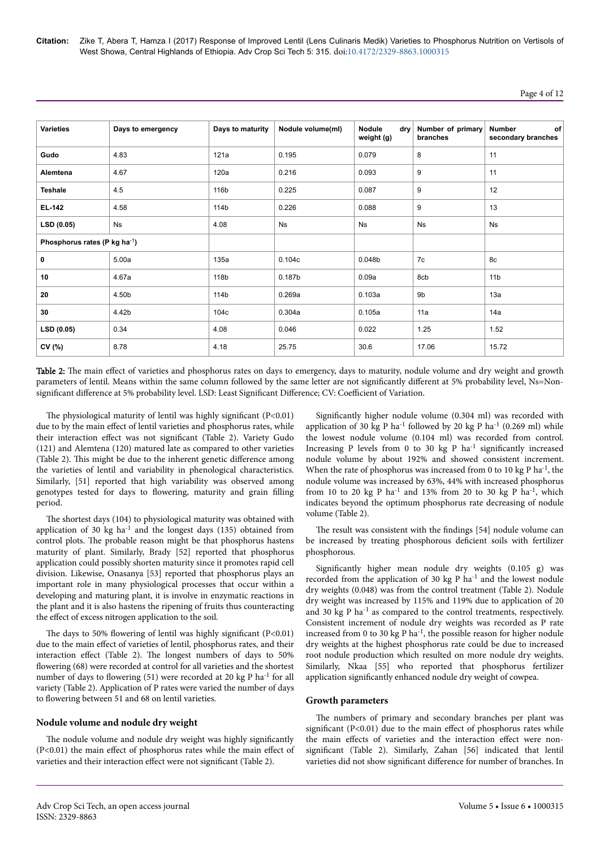**Citation:** Zike T, Abera T, Hamza I (2017) Response of Improved Lentil (Lens Culinaris Medik) Varieties to Phosphorus Nutrition on Vertisols of West Showa, Central Highlands of Ethiopia. Adv Crop Sci Tech 5: 315. doi:10.4172/2329-8863.1000315

# Page 4 of 12

| <b>Varieties</b>                          | Days to emergency | Days to maturity | Nodule volume(ml)  | Nodule<br>drv<br>weight (g) | Number of primary<br>branches | <b>Number</b><br><b>of</b><br>secondary branches |
|-------------------------------------------|-------------------|------------------|--------------------|-----------------------------|-------------------------------|--------------------------------------------------|
| Gudo                                      | 4.83              | 121a             | 0.195              | 0.079                       | 8                             | 11                                               |
| Alemtena                                  | 4.67              | 120a             | 0.216              | 0.093                       | 9                             | 11                                               |
| <b>Teshale</b>                            | 4.5               | 116b             | 0.225              | 0.087                       | 9                             | 12                                               |
| EL-142                                    | 4.58              | 114b             | 0.226              | 0.088                       | 9                             | 13                                               |
| LSD (0.05)                                | Ns                | 4.08             | <b>Ns</b>          | <b>Ns</b>                   | <b>Ns</b>                     | <b>Ns</b>                                        |
| Phosphorus rates (P kg ha <sup>-1</sup> ) |                   |                  |                    |                             |                               |                                                  |
| 0                                         | 5.00a             | 135a             | 0.104c             | 0.048 <sub>b</sub>          | 7c                            | 8c                                               |
| 10                                        | 4.67a             | 118b             | 0.187 <sub>b</sub> | 0.09a                       | 8cb                           | 11 <sub>b</sub>                                  |
| 20                                        | 4.50b             | 114b             | 0.269a             | 0.103a                      | 9b                            | 13a                                              |
| 30                                        | 4.42b             | 104c             | 0.304a             | 0.105a                      | 11a                           | 14a                                              |
| LSD (0.05)                                | 0.34              | 4.08             | 0.046              | 0.022                       | 1.25                          | 1.52                                             |
| CV (%)                                    | 8.78              | 4.18             | 25.75              | 30.6                        | 17.06                         | 15.72                                            |

Table 2: The main effect of varieties and phosphorus rates on days to emergency, days to maturity, nodule volume and dry weight and growth parameters of lentil. Means within the same column followed by the same letter are not significantly different at 5% probability level, Ns=Nonsignificant difference at 5% probability level. LSD: Least Significant Difference; CV: Coefficient of Variation.

The physiological maturity of lentil was highly significant  $(P<0.01)$ due to by the main effect of lentil varieties and phosphorus rates, while their interaction effect was not significant (Table 2). Variety Gudo (121) and Alemtena (120) matured late as compared to other varieties (Table 2). This might be due to the inherent genetic difference among the varieties of lentil and variability in phenological characteristics. Similarly, [51] reported that high variability was observed among genotypes tested for days to flowering, maturity and grain filling period.

The shortest days (104) to physiological maturity was obtained with application of 30 kg  $ha^{-1}$  and the longest days (135) obtained from control plots. Нe probable reason might be that phosphorus hastens maturity of plant. Similarly, Brady [52] reported that phosphorus application could possibly shorten maturity since it promotes rapid cell division. Likewise, Onasanya [53] reported that phosphorus plays an important role in many physiological processes that occur within a developing and maturing plant, it is involve in enzymatic reactions in the plant and it is also hastens the ripening of fruits thus counteracting the effect of excess nitrogen application to the soil.

The days to 50% flowering of lentil was highly significant (P<0.01) due to the main effect of varieties of lentil, phosphorus rates, and their interaction effect (Table 2). The longest numbers of days to 50% flowering (68) were recorded at control for all varieties and the shortest number of days to flowering (51) were recorded at 20 kg P ha<sup>-1</sup> for all variety (Table 2). Application of P rates were varied the number of days to flowering between 51 and 68 on lentil varieties.

# **Nodule volume and nodule dry weight**

The nodule volume and nodule dry weight was highly significantly  $(P<0.01)$  the main effect of phosphorus rates while the main effect of varieties and their interaction effect were not significant (Table 2).

Significantly higher nodule volume (0.304 ml) was recorded with application of 30 kg P ha<sup>-1</sup> followed by 20 kg P ha<sup>-1</sup> (0.269 ml) while the lowest nodule volume (0.104 ml) was recorded from control. Increasing P levels from 0 to 30 kg P  $ha^{-1}$  significantly increased nodule volume by about 192% and showed consistent increment. When the rate of phosphorus was increased from 0 to 10 kg P ha<sup>-1</sup>, the nodule volume was increased by 63%, 44% with increased phosphorus from 10 to 20 kg P ha<sup>-1</sup> and 13% from 20 to 30 kg P ha<sup>-1</sup>, which indicates beyond the optimum phosphorus rate decreasing of nodule volume (Table 2).

The result was consistent with the findings [54] nodule volume can be increased by treating phosphorous deficient soils with fertilizer phosphorous.

Significantly higher mean nodule dry weights (0.105 g) was recorded from the application of 30 kg P  $ha^{-1}$  and the lowest nodule dry weights (0.048) was from the control treatment (Table 2). Nodule dry weight was increased by 115% and 119% due to application of 20 and 30 kg P ha<sup>-1</sup> as compared to the control treatments, respectively. Consistent increment of nodule dry weights was recorded as P rate increased from 0 to 30 kg P  $ha^{-1}$ , the possible reason for higher nodule dry weights at the highest phosphorus rate could be due to increased root nodule production which resulted on more nodule dry weights. Similarly, Nkaa [55] who reported that phosphorus fertilizer application significantly enhanced nodule dry weight of cowpea.

#### **Growth parameters**

The numbers of primary and secondary branches per plant was significant (P<0.01) due to the main effect of phosphorus rates while the main effects of varieties and the interaction effect were nonsignificant (Table 2). Similarly, Zahan [56] indicated that lentil varieties did not show significant difference for number of branches. In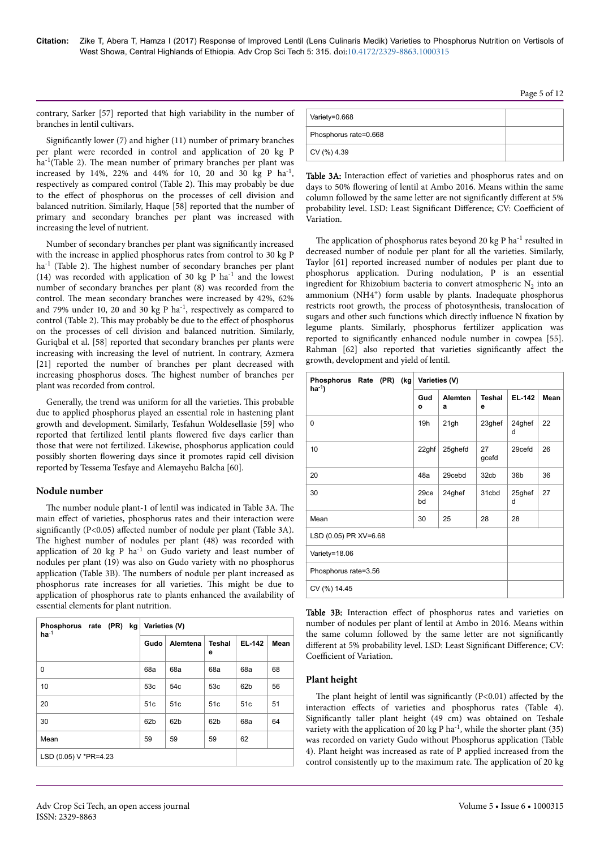contrary, Sarker [57] reported that high variability in the number of branches in lentil cultivars.

Significantly lower  $(7)$  and higher  $(11)$  number of primary branches per plant were recorded in control and application of 20 kg P ha<sup>-1</sup>(Table 2). The mean number of primary branches per plant was increased by 14%, 22% and 44% for 10, 20 and 30 kg P ha<sup>-1</sup>, respectively as compared control (Table 2). This may probably be due to the effect of phosphorus on the processes of cell division and balanced nutrition. Similarly, Haque [58] reported that the number of primary and secondary branches per plant was increased with increasing the level of nutrient.

Number of secondary branches per plant was significantly increased with the increase in applied phosphorus rates from control to 30 kg P ha<sup>-1</sup> (Table 2). The highest number of secondary branches per plant (14) was recorded with application of 30 kg P ha<sup>-1</sup> and the lowest number of secondary branches per plant (8) was recorded from the control. Нe mean secondary branches were increased by 42%, 62% and 79% under 10, 20 and 30 kg P ha<sup>-1</sup>, respectively as compared to control (Table 2). This may probably be due to the effect of phosphorus on the processes of cell division and balanced nutrition. Similarly, Guriqbal et al. [58] reported that secondary branches per plants were increasing with increasing the level of nutrient. In contrary, Azmera [21] reported the number of branches per plant decreased with increasing phosphorus doses. Нe highest number of branches per plant was recorded from control.

Generally, the trend was uniform for all the varieties. This probable due to applied phosphorus played an essential role in hastening plant growth and development. Similarly, Tesfahun Woldesellasie [59] who reported that fertilized lentil plants flowered five days earlier than those that were not fertilized. Likewise, phosphorus application could possibly shorten flowering days since it promotes rapid cell division reported by Tessema Tesfaye and Alemayehu Balcha [60].

#### **Nodule number**

The number nodule plant-1 of lentil was indicated in Table 3A. The main effect of varieties, phosphorus rates and their interaction were significantly (P<0.05) affected number of nodule per plant (Table 3A). The highest number of nodules per plant (48) was recorded with application of 20 kg P  $ha^{-1}$  on Gudo variety and least number of nodules per plant (19) was also on Gudo variety with no phosphorus application (Table 3B). Нe numbers of nodule per plant increased as phosphorus rate increases for all varieties. This might be due to application of phosphorus rate to plants enhanced the availability of essential elements for plant nutrition.

| Phosphorus rate (PR) kg<br>$ha^{-1}$ | Varieties (V)   |                 |                    |                 |      |  |  |  |
|--------------------------------------|-----------------|-----------------|--------------------|-----------------|------|--|--|--|
|                                      | Gudo            | Alemtena        | <b>Teshal</b><br>е | <b>EL-142</b>   | Mean |  |  |  |
| 0                                    | 68a             | 68a             | 68a                | 68a             | 68   |  |  |  |
| 10                                   | 53c             | 54c             | 53c                | 62 <sub>b</sub> | 56   |  |  |  |
| 20                                   | 51c             | 51c             | 51c                | 51c             | 51   |  |  |  |
| 30                                   | 62 <sub>b</sub> | 62 <sub>b</sub> | 62b                | 68a             | 64   |  |  |  |
| Mean                                 | 59              | 59              | 59                 | 62              |      |  |  |  |
| LSD (0.05) V *PR=4.23                |                 |                 |                    |                 |      |  |  |  |

| Variety=0.668         |  |
|-----------------------|--|
| Phosphorus rate=0.668 |  |
| CV (%) 4.39           |  |

Table 3A: Interaction effect of varieties and phosphorus rates and on days to 50% flowering of lentil at Ambo 2016. Means within the same column followed by the same letter are not significantly different at 5% probability level. LSD: Least Significant Difference; CV: Coefficient of Variation.

The application of phosphorus rates beyond 20 kg P ha<sup>-1</sup> resulted in decreased number of nodule per plant for all the varieties. Similarly, Taylor [61] reported increased number of nodules per plant due to phosphorus application. During nodulation, P is an essential ingredient for Rhizobium bacteria to convert atmospheric  $N_2$  into an ammonium (NH4<sup>+</sup>) form usable by plants. Inadequate phosphorus restricts root growth, the process of photosynthesis, translocation of sugars and other such functions which directly influence N fixation by legume plants. Similarly, phosphorus fertilizer application was reported to significantly enhanced nodule number in cowpea [55]. Rahman [62] also reported that varieties significantly affect the growth, development and yield of lentil.

| Phosphorus Rate<br>$(PR)$ (kg<br>$ha^{-1}$ | Varieties (V)   |                     |                    |               |      |
|--------------------------------------------|-----------------|---------------------|--------------------|---------------|------|
|                                            | Gud<br>$\Omega$ | <b>Alemten</b><br>а | <b>Teshal</b><br>e | <b>EL-142</b> | Mean |
| 0                                          | 19h             | 21gh                | 23ghef             | 24ghef<br>d   | 22   |
| 10                                         | 22ghf           | 25ghefd             | 27<br>gcefd        | 29cefd        | 26   |
| 20                                         | 48a             | 29cebd              | 32cb               | 36b           | 36   |
| 30                                         | 29ce<br>bd      | 24ghef              | 31cbd              | 25ghef<br>d   | 27   |
| Mean                                       | 30              | 25                  | 28                 | 28            |      |
| LSD (0.05) PR XV=6.68                      |                 |                     |                    |               |      |
| Variety=18.06                              |                 |                     |                    |               |      |
| Phosphorus rate=3.56                       |                 |                     |                    |               |      |
| CV (%) 14.45                               |                 |                     |                    |               |      |

Table 3B: Interaction effect of phosphorus rates and varieties on number of nodules per plant of lentil at Ambo in 2016. Means within the same column followed by the same letter are not significantly different at 5% probability level. LSD: Least Significant Difference; CV: Coefficient of Variation.

# **Plant height**

The plant height of lentil was significantly  $(P<0.01)$  affected by the interaction effects of varieties and phosphorus rates (Table 4). Significantly taller plant height (49 cm) was obtained on Teshale variety with the application of 20 kg P ha<sup>-1</sup>, while the shorter plant (35) was recorded on variety Gudo without Phosphorus application (Table 4). Plant height was increased as rate of P applied increased from the control consistently up to the maximum rate. Нe application of 20 kg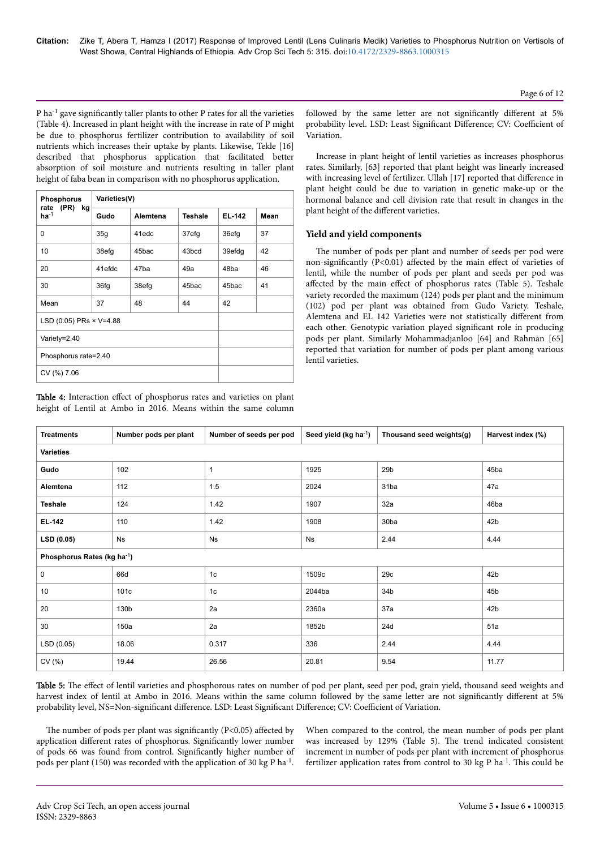$P$  ha<sup>-1</sup> gave significantly taller plants to other P rates for all the varieties (Table 4). Increased in plant height with the increase in rate of P might be due to phosphorus fertilizer contribution to availability of soil nutrients which increases their uptake by plants. Likewise, Tekle [16] described that phosphorus application that facilitated better absorption of soil moisture and nutrients resulting in taller plant height of faba bean in comparison with no phosphorus application.

| <b>Phosphorus</b><br>rate (PR) |                  | Varieties(V) |                |        |      |  |  |  |  |
|--------------------------------|------------------|--------------|----------------|--------|------|--|--|--|--|
| kg<br>$ha^{-1}$                | Gudo<br>Alemtena |              | <b>Teshale</b> | EL-142 | Mean |  |  |  |  |
| 0                              | 35g              | 41edc        | 37efg          | 36efg  | 37   |  |  |  |  |
| 10                             | 38efg            | 45bac        | 43bcd          | 39efdg | 42   |  |  |  |  |
| 20                             | 41efdc           | 47ba         | 49a            | 48ba   | 46   |  |  |  |  |
| 30                             | 36fg             | 38efg        | 45bac          | 45bac  | 41   |  |  |  |  |
| Mean                           | 37               | 48           | 44             | 42     |      |  |  |  |  |
| LSD (0.05) PRs × V=4.88        |                  |              |                |        |      |  |  |  |  |
| Variety=2.40                   |                  |              |                |        |      |  |  |  |  |
| Phosphorus rate=2.40           |                  |              |                |        |      |  |  |  |  |
| CV (%) 7.06                    |                  |              |                |        |      |  |  |  |  |

Table 4: Interaction effect of phosphorus rates and varieties on plant height of Lentil at Ambo in 2016. Means within the same column

followed by the same letter are not significantly different at 5% probability level. LSD: Least Significant Difference; CV: Coefficient of Variation.

Increase in plant height of lentil varieties as increases phosphorus rates. Similarly, [63] reported that plant height was linearly increased with increasing level of fertilizer. Ullah [17] reported that difference in plant height could be due to variation in genetic make-up or the hormonal balance and cell division rate that result in changes in the plant height of the different varieties.

### **Yield and yield components**

The number of pods per plant and number of seeds per pod were non-significantly (P<0.01) affected by the main effect of varieties of lentil, while the number of pods per plant and seeds per pod was affected by the main effect of phosphorus rates (Table 5). Teshale variety recorded the maximum (124) pods per plant and the minimum (102) pod per plant was obtained from Gudo Variety. Teshale, Alemtena and EL 142 Varieties were not statistically different from each other. Genotypic variation played significant role in producing pods per plant. Similarly Mohammadjanloo [64] and Rahman [65] reported that variation for number of pods per plant among various lentil varieties.

| <b>Treatments</b>                       | Number pods per plant | Number of seeds per pod | Seed yield (kg ha <sup>-1</sup> ) | Thousand seed weights(g) | Harvest index (%) |  |  |  |  |
|-----------------------------------------|-----------------------|-------------------------|-----------------------------------|--------------------------|-------------------|--|--|--|--|
| <b>Varieties</b>                        |                       |                         |                                   |                          |                   |  |  |  |  |
| Gudo                                    | 102                   | $\mathbf{1}$            | 1925                              | 29 <sub>b</sub>          | 45ba              |  |  |  |  |
| Alemtena                                | 112                   | 1.5                     | 2024                              | 31ba                     | 47a               |  |  |  |  |
| <b>Teshale</b>                          | 124                   | 1.42                    | 1907                              | 32a                      | 46ba              |  |  |  |  |
| EL-142                                  | 110                   | 1.42                    | 1908                              | 30ba                     | 42 <sub>b</sub>   |  |  |  |  |
| LSD(0.05)                               | Ns                    | <b>Ns</b>               | Ns                                | 2.44                     | 4.44              |  |  |  |  |
| Phosphorus Rates (kg ha <sup>-1</sup> ) |                       |                         |                                   |                          |                   |  |  |  |  |
| 0                                       | 66d                   | 1 <sub>c</sub>          | 1509c                             | 29c                      | 42 <sub>b</sub>   |  |  |  |  |
| 10                                      | 101c                  | 1 <sub>c</sub>          | 2044ba                            | 34b                      | 45b               |  |  |  |  |
| 20                                      | 130b                  | 2a                      | 2360a                             | 37a                      | 42b               |  |  |  |  |
| 30                                      | 150a                  | 2a                      | 1852b                             | 24d                      | 51a               |  |  |  |  |
| LSD(0.05)                               | 18.06                 | 0.317                   | 336                               | 2.44                     | 4.44              |  |  |  |  |
| CV(%)                                   | 19.44                 | 26.56                   | 20.81                             | 9.54                     | 11.77             |  |  |  |  |

Table 5: The effect of lentil varieties and phosphorous rates on number of pod per plant, seed per pod, grain yield, thousand seed weights and harvest index of lentil at Ambo in 2016. Means within the same column followed by the same letter are not significantly different at 5% probability level, NS=Non-significant difference. LSD: Least Significant Difference; CV: Coefficient of Variation.

The number of pods per plant was significantly (P<0.05) affected by application different rates of phosphorus. Significantly lower number of pods 66 was found from control. Significantly higher number of pods per plant (150) was recorded with the application of 30 kg P ha<sup>-1</sup>.

When compared to the control, the mean number of pods per plant was increased by 129% (Table 5). Нe trend indicated consistent increment in number of pods per plant with increment of phosphorus fertilizer application rates from control to 30 kg P ha<sup>-1</sup>. This could be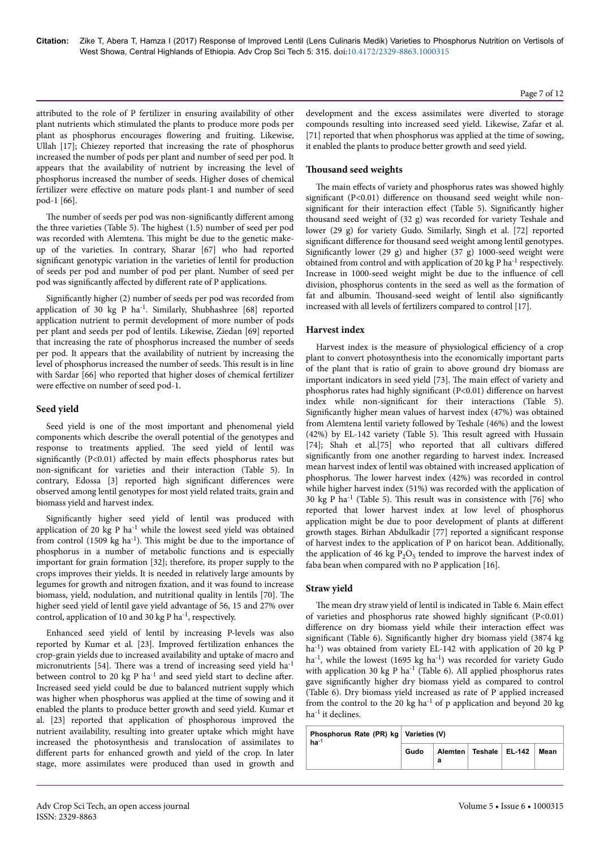attributed to the role of P fertilizer in ensuring availability of other plant nutrients which stimulated the plants to produce more pods per plant as phosphorus encourages flowering and fruiting. Likewise, Ullah [17]; Chiezey reported that increasing the rate of phosphorus increased the number of pods per plant and number of seed per pod. It appears that the availability of nutrient by increasing the level of phosphorus increased the number of seeds. Higher doses of chemical fertilizer were effective on mature pods plant-1 and number of seed pod-1 [66].

The number of seeds per pod was non-significantly different among the three varieties (Table 5). Нe highest (1.5) number of seed per pod was recorded with Alemtena. This might be due to the genetic makeup of the varieties. In contrary, Sharar [67] who had reported significant genotypic variation in the varieties of lentil for production of seeds per pod and number of pod per plant. Number of seed per pod was significantly affected by different rate of P applications.

Significantly higher (2) number of seeds per pod was recorded from application of 30 kg P ha-1. Similarly, Shubhashree [68] reported application nutrient to permit development of more number of pods per plant and seeds per pod of lentils. Likewise, Ziedan [69] reported that increasing the rate of phosphorus increased the number of seeds per pod. It appears that the availability of nutrient by increasing the level of phosphorus increased the number of seeds. This result is in line with Sardar [66] who reported that higher doses of chemical fertilizer were effective on number of seed pod-1.

#### **Seed yield**

Seed yield is one of the most important and phenomenal yield components which describe the overall potential of the genotypes and response to treatments applied. Нe seed yield of lentil was significantly (P<0.01) affected by main effects phosphorus rates but non-significant for varieties and their interaction (Table 5). In contrary, Edossa [3] reported high significant differences were observed among lentil genotypes for most yield related traits, grain and biomass yield and harvest index.

Significantly higher seed yield of lentil was produced with application of 20 kg P ha<sup>-1</sup> while the lowest seed yield was obtained from control (1509 kg ha<sup>-1</sup>). This might be due to the importance of phosphorus in a number of metabolic functions and is especially important for grain formation [32]; therefore, its proper supply to the crops improves their yields. It is needed in relatively large amounts by legumes for growth and nitrogen fixation, and it was found to increase biomass, yield, nodulation, and nutritional quality in lentils [70]. Нe higher seed yield of lentil gave yield advantage of 56, 15 and 27% over control, application of 10 and 30 kg P ha-1, respectively.

Enhanced seed yield of lentil by increasing P-levels was also reported by Kumar et al. [23]. Improved fertilization enhances the crop-grain yields due to increased availability and uptake of macro and micronutrients [54]. Нere was a trend of increasing seed yield ha-1 between control to 20 kg P  $ha^{-1}$  and seed yield start to decline after. Increased seed yield could be due to balanced nutrient supply which was higher when phosphorus was applied at the time of sowing and it enabled the plants to produce better growth and seed yield. Kumar et al. [23] reported that application of phosphorous improved the nutrient availability, resulting into greater uptake which might have increased the photosynthesis and translocation of assimilates to different parts for enhanced growth and yield of the crop. In later stage, more assimilates were produced than used in growth and development and the excess assimilates were diverted to storage compounds resulting into increased seed yield. Likewise, Zafar et al. [71] reported that when phosphorus was applied at the time of sowing, it enabled the plants to produce better growth and seed yield.

# **Thousand seed weights**

The main effects of variety and phosphorus rates was showed highly significant (P<0.01) difference on thousand seed weight while nonsignificant for their interaction effect (Table 5). Significantly higher thousand seed weight of (32 g) was recorded for variety Teshale and lower (29 g) for variety Gudo. Similarly, Singh et al. [72] reported significant difference for thousand seed weight among lentil genotypes. Significantly lower (29 g) and higher (37 g) 1000-seed weight were obtained from control and with application of 20 kg P ha-1 respectively. Increase in 1000-seed weight might be due to the influence of cell division, phosphorus contents in the seed as well as the formation of fat and albumin. Thousand-seed weight of lentil also significantly increased with all levels of fertilizers compared to control [17].

# **Harvest index**

Harvest index is the measure of physiological efficiency of a crop plant to convert photosynthesis into the economically important parts of the plant that is ratio of grain to above ground dry biomass are important indicators in seed yield [73]. The main effect of variety and phosphorus rates had highly significant (P<0.01) difference on harvest index while non-significant for their interactions (Table 5). Significantly higher mean values of harvest index (47%) was obtained from Alemtena lentil variety followed by Teshale (46%) and the lowest (42%) by EL-142 variety (Table 5). This result agreed with Hussain [74]; Shah et al.[75] who reported that all cultivars differed significantly from one another regarding to harvest index. Increased mean harvest index of lentil was obtained with increased application of phosphorus. Нe lower harvest index (42%) was recorded in control while higher harvest index (51%) was recorded with the application of 30 kg P ha<sup>-1</sup> (Table 5). This result was in consistence with  $[76]$  who reported that lower harvest index at low level of phosphorus application might be due to poor development of plants at different growth stages. Birhan Abdulkadir [77] reported a significant response of harvest index to the application of P on haricot bean. Additionally, the application of 46 kg  $P_2O_5$  tended to improve the harvest index of faba bean when compared with no P application [16].

# **Straw yield**

The mean dry straw yield of lentil is indicated in Table 6. Main effect of varieties and phosphorus rate showed highly significant  $(P<0.01)$ difference on dry biomass yield while their interaction effect was significant (Table 6). Significantly higher dry biomass yield (3874 kg ha<sup>-1</sup>) was obtained from variety EL-142 with application of 20 kg P ha<sup>-1</sup>, while the lowest (1695 kg ha<sup>-1</sup>) was recorded for variety Gudo with application 30 kg P ha<sup>-1</sup> (Table 6). All applied phosphorus rates gave significantly higher dry biomass yield as compared to control (Table 6). Dry biomass yield increased as rate of P applied increased from the control to the 20 kg ha<sup>-1</sup> of p application and beyond 20 kg  $ha^{-1}$  it declines.

| Phosphorus Rate (PR) kg   Varieties (V)<br>$ha^{-1}$ |      |   |                            |  |      |  |  |
|------------------------------------------------------|------|---|----------------------------|--|------|--|--|
|                                                      | Gudo | а | Alemten   Teshale   EL-142 |  | Mean |  |  |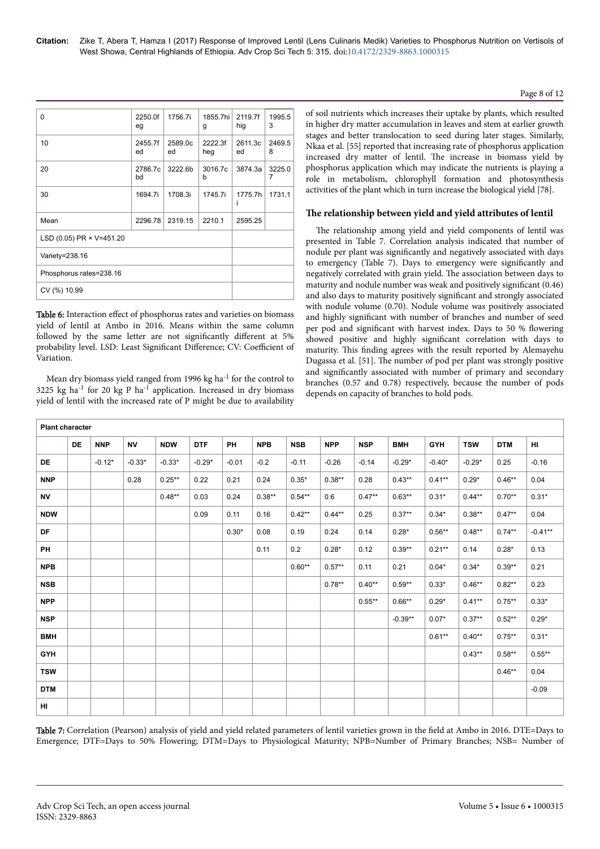# Page 8 of 12

| 0                        | 2250.0f<br>eg | 1756.7i       | 1855.7hi<br>g  | 2119.7f<br>hig | 1995.5<br>3 |
|--------------------------|---------------|---------------|----------------|----------------|-------------|
| 10                       | 2455.7f<br>ed | 2589.0c<br>ed | 2222.3f<br>heg | 2611.3c<br>ed  | 2469.5<br>8 |
| 20                       | 2786.7c<br>bd | 3222.6b       | 3016.7c<br>b   | 3874.3a        | 3225.0<br>7 |
| 30                       | 1694.7i       | 1708.3i       | 1745.7i        | 1775.7h<br>i   | 1731.1      |
| Mean                     | 2296.78       | 2319.15       | 2210.1         | 2595.25        |             |
| LSD (0.05) PR × V=451.20 |               |               |                |                |             |
| Variety=238.16           |               |               |                |                |             |
| Phosphorus rates=238.16  |               |               |                |                |             |
| CV (%) 10.99             |               |               |                |                |             |

Table 6: Interaction effect of phosphorus rates and varieties on biomass yield of lentil at Ambo in 2016. Means within the same column followed by the same letter are not significantly different at 5% probability level. LSD: Least Significant Difference; CV: Coefficient of Variation.

Mean dry biomass yield ranged from 1996 kg ha<sup>-1</sup> for the control to 3225 kg ha<sup>-1</sup> for 20 kg P ha<sup>-1</sup> application. Increased in dry biomass yield of lentil with the increased rate of P might be due to availability

of soil nutrients which increases their uptake by plants, which resulted in higher dry matter accumulation in leaves and stem at earlier growth stages and better translocation to seed during later stages. Similarly, Nkaa et al. [55] reported that increasing rate of phosphorus application increased dry matter of lentil. Нe increase in biomass yield by phosphorus application which may indicate the nutrients is playing a role in metabolism, chlorophyll formation and photosynthesis activities of the plant which in turn increase the biological yield [78].

# **Нe relationship between yield and yield attributes of lentil**

The relationship among yield and yield components of lentil was presented in Table 7. Correlation analysis indicated that number of nodule per plant was significantly and negatively associated with days to emergency (Table 7). Days to emergency were significantly and negatively correlated with grain yield. Нe association between days to maturity and nodule number was weak and positively significant (0.46) and also days to maturity positively significant and strongly associated with nodule volume (0.70). Nodule volume was positively associated and highly significant with number of branches and number of seed per pod and significant with harvest index. Days to 50 % flowering showed positive and highly significant correlation with days to maturity. This finding agrees with the result reported by Alemayehu Dugassa et al. [51]. Нe number of pod per plant was strongly positive and significantly associated with number of primary and secondary branches (0.57 and 0.78) respectively, because the number of pods depends on capacity of branches to hold pods.

| <b>Plant character</b> |    |            |           |            |            |         |            |            |            |            |            |            |            |            |           |
|------------------------|----|------------|-----------|------------|------------|---------|------------|------------|------------|------------|------------|------------|------------|------------|-----------|
|                        | DE | <b>NNP</b> | <b>NV</b> | <b>NDW</b> | <b>DTF</b> | PH      | <b>NPB</b> | <b>NSB</b> | <b>NPP</b> | <b>NSP</b> | <b>BMH</b> | <b>GYH</b> | <b>TSW</b> | <b>DTM</b> | HI        |
| <b>DE</b>              |    | $-0.12*$   | $-0.33*$  | $-0.33*$   | $-0.29*$   | $-0.01$ | $-0.2$     | $-0.11$    | $-0.26$    | $-0.14$    | $-0.29*$   | $-0.40*$   | $-0.29*$   | 0.25       | $-0.16$   |
| <b>NNP</b>             |    |            | 0.28      | $0.25***$  | 0.22       | 0.21    | 0.24       | $0.35*$    | $0.38**$   | 0.28       | $0.43**$   | $0.41***$  | $0.29*$    | $0.46**$   | 0.04      |
| <b>NV</b>              |    |            |           | $0.48**$   | 0.03       | 0.24    | $0.38**$   | $0.54***$  | 0.6        | $0.47**$   | $0.63**$   | $0.31*$    | $0.44**$   | $0.70**$   | $0.31*$   |
| <b>NDW</b>             |    |            |           |            | 0.09       | 0.11    | 0.16       | $0.42**$   | $0.44***$  | 0.25       | $0.37**$   | $0.34*$    | $0.38**$   | $0.47**$   | 0.04      |
| DF                     |    |            |           |            |            | $0.30*$ | 0.08       | 0.19       | 0.24       | 0.14       | $0.28*$    | $0.56**$   | $0.48**$   | $0.74***$  | $-0.41**$ |
| <b>PH</b>              |    |            |           |            |            |         | 0.11       | 0.2        | $0.28*$    | 0.12       | $0.39**$   | $0.21***$  | 0.14       | $0.28*$    | 0.13      |
| <b>NPB</b>             |    |            |           |            |            |         |            | $0.60**$   | $0.57**$   | 0.11       | 0.21       | $0.04*$    | $0.34*$    | $0.39**$   | 0.21      |
| <b>NSB</b>             |    |            |           |            |            |         |            |            | $0.78**$   | $0.40**$   | $0.59**$   | $0.33*$    | $0.46**$   | $0.82**$   | 0.23      |
| <b>NPP</b>             |    |            |           |            |            |         |            |            |            | $0.55***$  | $0.66***$  | $0.29*$    | $0.41***$  | $0.75***$  | $0.33*$   |
| <b>NSP</b>             |    |            |           |            |            |         |            |            |            |            | $-0.39**$  | $0.07*$    | $0.37**$   | $0.52**$   | $0.29*$   |
| <b>BMH</b>             |    |            |           |            |            |         |            |            |            |            |            | $0.61**$   | $0.40**$   | $0.75***$  | $0.31*$   |
| <b>GYH</b>             |    |            |           |            |            |         |            |            |            |            |            |            | $0.43**$   | $0.58**$   | $0.55***$ |
| <b>TSW</b>             |    |            |           |            |            |         |            |            |            |            |            |            |            | $0.46**$   | 0.04      |
| <b>DTM</b>             |    |            |           |            |            |         |            |            |            |            |            |            |            |            | $-0.09$   |
| HI.                    |    |            |           |            |            |         |            |            |            |            |            |            |            |            |           |

Table 7: Correlation (Pearson) analysis of yield and yield related parameters of lentil varieties grown in the field at Ambo in 2016. DTE=Days to Emergence; DTF=Days to 50% Flowering; DTM=Days to Physiological Maturity; NPB=Number of Primary Branches; NSB= Number of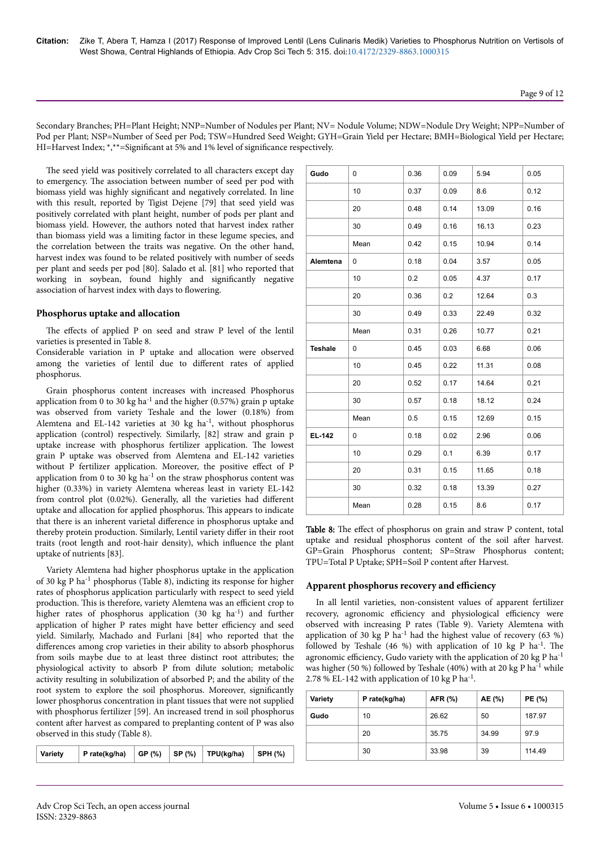Secondary Branches; PH=Plant Height; NNP=Number of Nodules per Plant; NV= Nodule Volume; NDW=Nodule Dry Weight; NPP=Number of Pod per Plant; NSP=Number of Seed per Pod; TSW=Hundred Seed Weight; GYH=Grain Yield per Hectare; BMH=Biological Yield per Hectare; HI=Harvest Index; \*,\*\*=Significant at 5% and 1% level of significance respectively.

The seed yield was positively correlated to all characters except day to emergency. Нe association between number of seed per pod with biomass yield was highly significant and negatively correlated. In line with this result, reported by Tigist Dejene [79] that seed yield was positively correlated with plant height, number of pods per plant and biomass yield. However, the authors noted that harvest index rather than biomass yield was a limiting factor in these legume species, and the correlation between the traits was negative. On the other hand, harvest index was found to be related positively with number of seeds per plant and seeds per pod [80]. Salado et al. [81] who reported that working in soybean, found highly and significantly negative association of harvest index with days to flowering.

### **Phosphorus uptake and allocation**

The effects of applied P on seed and straw P level of the lentil varieties is presented in Table 8.

Considerable variation in P uptake and allocation were observed among the varieties of lentil due to different rates of applied phosphorus.

Grain phosphorus content increases with increased Phosphorus application from 0 to 30 kg ha<sup>-1</sup> and the higher (0.57%) grain p uptake was observed from variety Teshale and the lower (0.18%) from Alemtena and EL-142 varieties at 30 kg ha-1, without phosphorus application (control) respectively. Similarly, [82] straw and grain p uptake increase with phosphorus fertilizer application. Нe lowest grain P uptake was observed from Alemtena and EL-142 varieties without P fertilizer application. Moreover, the positive effect of P application from 0 to 30 kg  $ha^{-1}$  on the straw phosphorus content was higher (0.33%) in variety Alemtena whereas least in variety EL-142 from control plot (0.02%). Generally, all the varieties had different uptake and allocation for applied phosphorus. This appears to indicate that there is an inherent varietal difference in phosphorus uptake and thereby protein production. Similarly, Lentil variety differ in their root traits (root length and root-hair density), which influence the plant uptake of nutrients [83].

Variety Alemtena had higher phosphorus uptake in the application of 30 kg P ha-1 phosphorus (Table 8), indicting its response for higher rates of phosphorus application particularly with respect to seed yield production. This is therefore, variety Alemtena was an efficient crop to higher rates of phosphorus application (30 kg ha<sup>-1</sup>) and further application of higher P rates might have better efficiency and seed yield. Similarly, Machado and Furlani [84] who reported that the differences among crop varieties in their ability to absorb phosphorus from soils maybe due to at least three distinct root attributes; the physiological activity to absorb P from dilute solution; metabolic activity resulting in solubilization of absorbed P; and the ability of the root system to explore the soil phosphorus. Moreover, significantly lower phosphorus concentration in plant tissues that were not supplied with phosphorus fertilizer [59]. An increased trend in soil phosphorus content after harvest as compared to preplanting content of P was also observed in this study (Table 8).

| P rate(kg/ha)<br>Variety |  |  | GP (%)   SP (%)   TPU(kg/ha) | $\vert$ SPH (%) |
|--------------------------|--|--|------------------------------|-----------------|
|--------------------------|--|--|------------------------------|-----------------|

| Gudo           | 0    | 0.36 | 0.09 | 5.94  | 0.05 |
|----------------|------|------|------|-------|------|
|                | 10   | 0.37 | 0.09 | 8.6   | 0.12 |
|                | 20   | 0.48 | 0.14 | 13.09 | 0.16 |
|                | 30   | 0.49 | 0.16 | 16.13 | 0.23 |
|                | Mean | 0.42 | 0.15 | 10.94 | 0.14 |
| Alemtena       | 0    | 0.18 | 0.04 | 3.57  | 0.05 |
|                | 10   | 0.2  | 0.05 | 4.37  | 0.17 |
|                | 20   | 0.36 | 0.2  | 12.64 | 0.3  |
|                | 30   | 0.49 | 0.33 | 22.49 | 0.32 |
|                | Mean | 0.31 | 0.26 | 10.77 | 0.21 |
| <b>Teshale</b> | 0    | 0.45 | 0.03 | 6.68  | 0.06 |
|                | 10   | 0.45 | 0.22 | 11.31 | 0.08 |
|                | 20   | 0.52 | 0.17 | 14.64 | 0.21 |
|                | 30   | 0.57 | 0.18 | 18.12 | 0.24 |
|                | Mean | 0.5  | 0.15 | 12.69 | 0.15 |
| EL-142         | 0    | 0.18 | 0.02 | 2.96  | 0.06 |
|                | 10   | 0.29 | 0.1  | 6.39  | 0.17 |
|                | 20   | 0.31 | 0.15 | 11.65 | 0.18 |
|                | 30   | 0.32 | 0.18 | 13.39 | 0.27 |
|                | Mean | 0.28 | 0.15 | 8.6   | 0.17 |

Table 8: The effect of phosphorus on grain and straw P content, total uptake and residual phosphorus content of the soil after harvest. GP=Grain Phosphorus content; SP=Straw Phosphorus content; TPU=Total P Uptake; SPH=Soil P content after Harvest.

#### Apparent phosphorus recovery and efficiency

In all lentil varieties, non-consistent values of apparent fertilizer recovery, agronomic efficiency and physiological efficiency were observed with increasing P rates (Table 9). Variety Alemtena with application of 30 kg P ha<sup>-1</sup> had the highest value of recovery (63 %) followed by Teshale (46 %) with application of 10 kg P ha<sup>-1</sup>. The agronomic efficiency, Gudo variety with the application of 20 kg P ha $^{-1}$ was higher (50 %) followed by Teshale (40%) with at 20 kg P ha-1 while 2.78 % EL-142 with application of 10 kg P ha<sup>-1</sup>.

| Variety | P rate(kg/ha) | AFR (%) | AE (%) | PE (%) |
|---------|---------------|---------|--------|--------|
| Gudo    | 10            | 26.62   | 50     | 187.97 |
|         | 20            | 35.75   | 34.99  | 97.9   |
|         | 30            | 33.98   | 39     | 114.49 |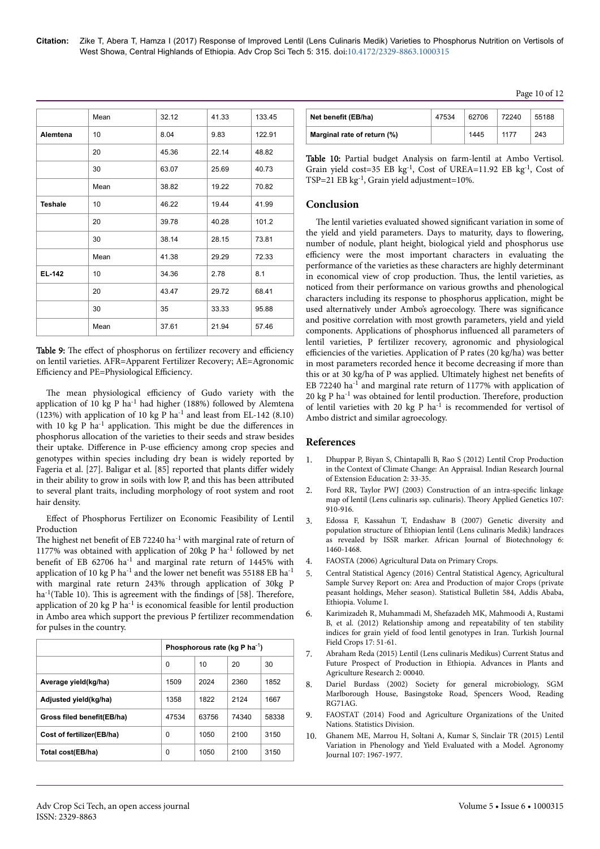**Citation:** Zike T, Abera T, Hamza I (2017) Response of Improved Lentil (Lens Culinaris Medik) Varieties to Phosphorus Nutrition on Vertisols of West Showa, Central Highlands of Ethiopia. Adv Crop Sci Tech 5: 315. doi:10.4172/2329-8863.1000315

|                | Mean | 32.12 | 41.33 | 133.45 |
|----------------|------|-------|-------|--------|
| Alemtena       | 10   | 8.04  | 9.83  | 122.91 |
|                | 20   | 45.36 | 22.14 | 48.82  |
|                | 30   | 63.07 | 25.69 | 40.73  |
|                | Mean | 38.82 | 19.22 | 70.82  |
| <b>Teshale</b> | 10   | 46.22 | 19.44 | 41.99  |
|                | 20   | 39.78 | 40.28 | 101.2  |
|                | 30   | 38.14 | 28.15 | 73.81  |
|                | Mean | 41.38 | 29.29 | 72.33  |
| <b>EL-142</b>  | 10   | 34.36 | 2.78  | 8.1    |
|                | 20   | 43.47 | 29.72 | 68.41  |
|                | 30   | 35    | 33.33 | 95.88  |
|                | Mean | 37.61 | 21.94 | 57.46  |

Table 9: The effect of phosphorus on fertilizer recovery and efficiency on lentil varieties. AFR=Apparent Fertilizer Recovery; AE=Agronomic Efficiency and PE=Physiological Efficiency.

The mean physiological efficiency of Gudo variety with the application of 10 kg P ha-1 had higher (188%) followed by Alemtena  $(123%)$  with application of 10 kg P ha<sup>-1</sup> and least from EL-142 (8.10) with 10 kg P ha<sup>-1</sup> application. This might be due the differences in phosphorus allocation of the varieties to their seeds and straw besides their uptake. Difference in P-use efficiency among crop species and genotypes within species including dry bean is widely reported by Fageria et al. [27]. Baligar et al. [85] reported that plants differ widely in their ability to grow in soils with low P, and this has been attributed to several plant traits, including morphology of root system and root hair density.

Effect of Phosphorus Fertilizer on Economic Feasibility of Lentil Production

The highest net benefit of EB 72240 ha<sup>-1</sup> with marginal rate of return of 1177% was obtained with application of 20kg P ha-1 followed by net benefit of EB 62706 ha<sup>-1</sup> and marginal rate return of 1445% with application of 10 kg P ha-1 and the lower net benefit was 55188 EB ha-1 with marginal rate return 243% through application of 30kg P ha<sup>-1</sup>(Table 10). This is agreement with the findings of [58]. Therefore, application of 20 kg P  $ha^{-1}$  is economical feasible for lentil production in Ambo area which support the previous P fertilizer recommendation for pulses in the country.

|                            | Phosphorous rate (kg P ha <sup>-1</sup> ) |       |       |       |
|----------------------------|-------------------------------------------|-------|-------|-------|
|                            | 0                                         | 10    | 20    | 30    |
| Average yield(kg/ha)       | 1509                                      | 2024  | 2360  | 1852  |
| Adjusted yield(kg/ha)      | 1358                                      | 1822  | 2124  | 1667  |
| Gross filed benefit(EB/ha) | 47534                                     | 63756 | 74340 | 58338 |
| Cost of fertilizer(EB/ha)  | 0                                         | 1050  | 2100  | 3150  |
| Total cost(EB/ha)          | 0                                         | 1050  | 2100  | 3150  |

| Net benefit (EB/ha)         | 47534 | 62706 | 72240 | 55188 |
|-----------------------------|-------|-------|-------|-------|
| Marginal rate of return (%) |       | 1445  | 1177  | 243   |

Table 10: Partial budget Analysis on farm-lentil at Ambo Vertisol. Grain yield cost=35 EB  $kg^{-1}$ , Cost of UREA=11.92 EB  $kg^{-1}$ , Cost of TSP=21 EB kg-1, Grain yield adjustment=10%.

# **Conclusion**

The lentil varieties evaluated showed significant variation in some of the yield and yield parameters. Days to maturity, days to flowering, number of nodule, plant height, biological yield and phosphorus use efficiency were the most important characters in evaluating the performance of the varieties as these characters are highly determinant in economical view of crop production. Нus, the lentil varieties, as noticed from their performance on various growths and phenological characters including its response to phosphorus application, might be used alternatively under Ambo's agroecology. There was significance and positive correlation with most growth parameters, yield and yield components. Applications of phosphorus influenced all parameters of lentil varieties, P fertilizer recovery, agronomic and physiological efficiencies of the varieties. Application of P rates (20 kg/ha) was better in most parameters recorded hence it become decreasing if more than this or at 30 kg/ha of P was applied. Ultimately highest net benefits of EB 72240 ha<sup>-1</sup> and marginal rate return of 1177% with application of 20 kg P ha<sup>-1</sup> was obtained for lentil production. Therefore, production of lentil varieties with 20 kg P  $ha^{-1}$  is recommended for vertisol of Ambo district and similar agroecology.

# **References**

- 1. [Dhuppar P, Biyan S, Chintapalli B, Rao S \(2012\) Lentil Crop Production](http://seea.org.in/irjee/upload/v12509.pdf) [in the Context of Climate Change: An Appraisal. Indian Research Journal](http://seea.org.in/irjee/upload/v12509.pdf) [of Extension Education 2: 33-35.](http://seea.org.in/irjee/upload/v12509.pdf)
- 2. [Ford RR, Taylor PWJ \(2003\) Construction of an](https://link.springer.com/article/10.1007/s00122-003-1326-9) intra-specific linkage [map of lentil \(Lens culinaris ssp. culinaris\).](https://link.springer.com/article/10.1007/s00122-003-1326-9) Нeory Applied Genetics 107: [910-916.](https://link.springer.com/article/10.1007/s00122-003-1326-9)
- 3. [Edossa F, Kassahun T, Endashaw B \(2007\) Genetic diversity and](http://doi.org/10.5897/AJB2007.000-2207) [population structure of Ethiopian lentil \(Lens culinaris Medik\) landraces](http://doi.org/10.5897/AJB2007.000-2207) [as revealed by ISSR marker. African Journal of Biotechnology 6:](http://doi.org/10.5897/AJB2007.000-2207) [1460-1468.](http://doi.org/10.5897/AJB2007.000-2207)
- 4. FAOSTA (2006) Agricultural Data on Primary Crops.
- 5. Central Statistical Agency (2016) Central Statistical Agency, Agricultural Sample Survey Report on: Area and Production of major Crops (private peasant holdings, Meher season). Statistical Bulletin 584, Addis Ababa, Ethiopia. Volume I.
- 6. [Karimizadeh R, Muhammadi M, Shefazadeh MK, Mahmoodi A, Rustami](http://www.field-crops.org/assets/pdf/product512cb916eaca4.pdf) [B, et al. \(2012\) Relationship among and repeatability of ten stability](http://www.field-crops.org/assets/pdf/product512cb916eaca4.pdf) [indices for grain yield of food lentil genotypes in Iran. Turkish Journal](http://www.field-crops.org/assets/pdf/product512cb916eaca4.pdf) [Field Crops 17: 51-61.](http://www.field-crops.org/assets/pdf/product512cb916eaca4.pdf)
- 7. [Abraham Reda \(2015\) Lentil \(Lens culinaris Medikus\) Current Status and](https://www.researchgate.net/profile/Abraham_Reda/publication/280614095_Lentil_Lens_Culinaris_Medikus_Current_Status_and_Future_Prospect_of_Production_in_Ethiopia/links/55bef81f08aed621de12178d.pdf) [Future Prospect of Production in Ethiopia. Advances in Plants and](https://www.researchgate.net/profile/Abraham_Reda/publication/280614095_Lentil_Lens_Culinaris_Medikus_Current_Status_and_Future_Prospect_of_Production_in_Ethiopia/links/55bef81f08aed621de12178d.pdf) [Agriculture Research 2: 00040.](https://www.researchgate.net/profile/Abraham_Reda/publication/280614095_Lentil_Lens_Culinaris_Medikus_Current_Status_and_Future_Prospect_of_Production_in_Ethiopia/links/55bef81f08aed621de12178d.pdf)
- 8. Dariel Burdass (2002) Society for general microbiology, SGM Marlborough House, Basingstoke Road, Spencers Wood, Reading RG71AG.
- 9. [FAOSTAT \(2014\) Food and Agriculture Organizations of the United](http://www.fao.org/faostat/en/) [Nations. Statistics Division.](http://www.fao.org/faostat/en/)
- 10. [Ghanem ME, Marrou H, Soltani A, Kumar S, Sinclair TR \(2015\) Lentil](http://doi.org/10.2134/agronj15.0061) [Variation in Phenology and Yield Evaluated with a Model. Agronomy](http://doi.org/10.2134/agronj15.0061) [Journal 107: 1967-1977.](http://doi.org/10.2134/agronj15.0061)

#### Page 10 of 12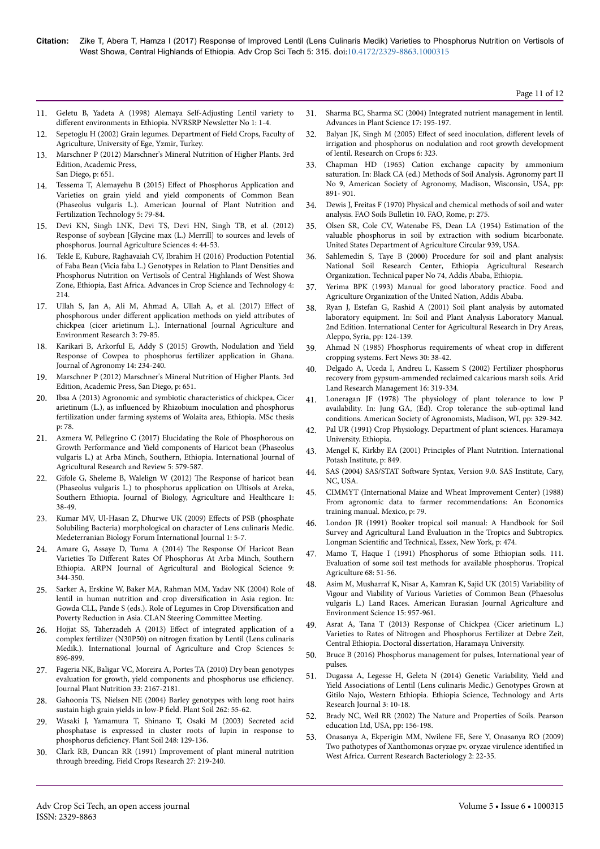Page 11 of 12

- 11. Geletu B, Yadeta A (1998) Alemaya Self-Adjusting Lentil variety to different environments in Ethiopia. NVRSRP Newsletter No 1: 1-4.
- 12. Sepetoglu H (2002) Grain legumes. Department of Field Crops, Faculty of Agriculture, University of Ege, Yzmir, Turkey.
- 13. [Marschner P \(2012\) Marschner's Mineral Nutrition of Higher Plants. 3rd](https://books.google.co.in/books?hl=en&lr=&id=yqKV3USG41cC&oi=fnd&pg=PP1&dq=Marschner%27s+Mineral+Nutrition+of+Higher+Plants&ots=Vb3FS4xUFj&sig=4bdx3kyuUpZr8-GqV5nBzIpqgH4) [Edition, Academic Press,](https://books.google.co.in/books?hl=en&lr=&id=yqKV3USG41cC&oi=fnd&pg=PP1&dq=Marschner%27s+Mineral+Nutrition+of+Higher+Plants&ots=Vb3FS4xUFj&sig=4bdx3kyuUpZr8-GqV5nBzIpqgH4) [San Diego, p: 651.](https://books.google.co.in/books?hl=en&lr=&id=yqKV3USG41cC&oi=fnd&pg=PP1&dq=Marschner%27s+Mineral+Nutrition+of+Higher+Plants&ots=Vb3FS4xUFj&sig=4bdx3kyuUpZr8-GqV5nBzIpqgH4)
- [Tessema T, Alemayehu B \(2015\)](https://s3.amazonaws.com/academia.edu.documents/43678675/Tessema_Publication.pdf?AWSAccessKeyId=AKIAIWOWYYGZ2Y53UL3A&Expires=1511961484&Signature=R%2FA9eBPVGUB9Y9xyEsftr3PmfbE%3D&response-content-disposition=inline%3B%20filename%3DEffect_of_Phosphorus_Application_and_Var.pdf) Effect of Phosphorus Application and [Varieties on grain yield and yield components of Common Bean](https://s3.amazonaws.com/academia.edu.documents/43678675/Tessema_Publication.pdf?AWSAccessKeyId=AKIAIWOWYYGZ2Y53UL3A&Expires=1511961484&Signature=R%2FA9eBPVGUB9Y9xyEsftr3PmfbE%3D&response-content-disposition=inline%3B%20filename%3DEffect_of_Phosphorus_Application_and_Var.pdf) [\(Phaseolus vulgaris L.\). American Journal of Plant Nutrition and](https://s3.amazonaws.com/academia.edu.documents/43678675/Tessema_Publication.pdf?AWSAccessKeyId=AKIAIWOWYYGZ2Y53UL3A&Expires=1511961484&Signature=R%2FA9eBPVGUB9Y9xyEsftr3PmfbE%3D&response-content-disposition=inline%3B%20filename%3DEffect_of_Phosphorus_Application_and_Var.pdf) [Fertilization Technology 5: 79-84.](https://s3.amazonaws.com/academia.edu.documents/43678675/Tessema_Publication.pdf?AWSAccessKeyId=AKIAIWOWYYGZ2Y53UL3A&Expires=1511961484&Signature=R%2FA9eBPVGUB9Y9xyEsftr3PmfbE%3D&response-content-disposition=inline%3B%20filename%3DEffect_of_Phosphorus_Application_and_Var.pdf)
- 15. [Devi KN, Singh LNK, Devi TS, Devi HN, Singh TB, et al. \(2012\)](http://dx.doi.org/10.5539/jas.v4n6p44) [Response of soybean \[Glycine max \(L.\) Merrill\] to sources and levels of](http://dx.doi.org/10.5539/jas.v4n6p44) [phosphorus. Journal Agriculture Sciences 4: 44-53.](http://dx.doi.org/10.5539/jas.v4n6p44)
- 16. Tekle E, Kubure, Raghavaiah CV, Ibrahim H (2016) Production Potential of Faba Bean (Vicia faba L.) Genotypes in Relation to Plant Densities and Phosphorus Nutrition on Vertisols of Central Highlands of West Showa Zone, Ethiopia, East Africa. Advances in Crop Science and Technology 4: 214.
- 17. Ullah S, Jan A, Ali M, Ahmad A, Ullah A, et al. (2017) Effect of phosphorous under different application methods on yield attributes of chickpea (cicer arietinum L.). International Journal Agriculture and Environment Research 3: 79-85.
- 18. Karikari B, Arkorful E, Addy S (2015) Growth, Nodulation and Yield Response of Cowpea to phosphorus fertilizer application in Ghana. Journal of Agronomy 14: 234-240.
- 19. [Marschner P \(2012\) Marschner's Mineral Nutrition of Higher Plants. 3rd](https://books.google.co.in/books?hl=en&lr=&id=yqKV3USG41cC&oi=fnd&pg=PP1&dq=Marschner%27s+Mineral+Nutrition+of+Higher+Plants&ots=Vb3FT0yXGl&sig=dujvQg3zu_tchNbZjw5Q4yUa1Z8) [Edition, Academic Press, San Diego, p: 651.](https://books.google.co.in/books?hl=en&lr=&id=yqKV3USG41cC&oi=fnd&pg=PP1&dq=Marschner%27s+Mineral+Nutrition+of+Higher+Plants&ots=Vb3FT0yXGl&sig=dujvQg3zu_tchNbZjw5Q4yUa1Z8)
- 20. [Ibsa A \(2013\) Agronomic and symbiotic characteristics of chickpea, Cicer](http://edepot.wur.nl/262761) arietinum (L.), as influenced [by Rhizobium inoculation and phosphorus](http://edepot.wur.nl/262761) [fertilization under farming systems of Wolaita area, Ethiopia. MSc thesis](http://edepot.wur.nl/262761) [p: 78.](http://edepot.wur.nl/262761)
- 21. Azmera W, Pellegrino C (2017) Elucidating the Role of Phosphorous on Growth Performance and Yield components of Haricot bean (Phaseolus vulgaris L.) at Arba Minch, Southern, Ethiopia. International Journal of Agricultural Research and Review 5: 579-587.
- 22. [Gifole G, Sheleme B, Walelign W \(2012\)](http://pakacademicsearch.com/pdf-files/agr/524/38-49%20Vol%201,%20No%203%20(2011).pdf) Нe Response of haricot bean [\(Phaseolus vulgaris L.\) to phosphorus application on Ultisols at Areka,](http://pakacademicsearch.com/pdf-files/agr/524/38-49%20Vol%201,%20No%203%20(2011).pdf) [Southern Ethiopia. Journal of Biology, Agriculture and Healthcare 1:](http://pakacademicsearch.com/pdf-files/agr/524/38-49%20Vol%201,%20No%203%20(2011).pdf) [38-49.](http://pakacademicsearch.com/pdf-files/agr/524/38-49%20Vol%201,%20No%203%20(2011).pdf)
- 23. [Kumar MV, Ul-Hasan Z, Dhurwe UK \(2009\)](https://www.cabdirect.org/cabdirect/abstract/20113349610) Effects of PSB (phosphate [Solubiling Bacteria\) morphological on character of Lens culinaris Medic.](https://www.cabdirect.org/cabdirect/abstract/20113349610) [Medeterranian Biology Forum International Journal 1: 5-7.](https://www.cabdirect.org/cabdirect/abstract/20113349610)
- 24. Amare G, Assaye D, Tuma A (2014) Нe Response Of Haricot Bean Varieties To Different Rates Of Phosphorus At Arba Minch, Southern Ethiopia. ARPN Journal of Agricultural and Biological Science 9: 344-350.
- 25. Sarker A, Erskine W, Baker MA, Rahman MM, Yadav NK (2004) Role of lentil in human nutrition and crop diversification in Asia region. In: Gowda CLL, Pande S (eds.). Role of Legumes in Crop Diversification and Poverty Reduction in Asia. CLAN Steering Committee Meeting.
- 26. [Hojjat SS, Taherzadeh A \(2013\)](https://profdoc.um.ac.ir/paper-abstract-1040970.html) Effect of integrated application of a [complex fertilizer \(N30P50\) on nitrogen](https://profdoc.um.ac.ir/paper-abstract-1040970.html) fixation by Lentil (Lens culinaris [Medik.\). International Journal of Agriculture and Crop Sciences 5:](https://profdoc.um.ac.ir/paper-abstract-1040970.html) [896-899.](https://profdoc.um.ac.ir/paper-abstract-1040970.html)
- 27. [Fageria NK, Baligar VC, Moreira A, Portes TA \(2010\) Dry bean genotypes](http://www.tandfonline.com/doi/abs/10.1080/01904167.2010.519089) [evaluation for growth, yield components and phosphorus use](http://www.tandfonline.com/doi/abs/10.1080/01904167.2010.519089) efficiency. [Journal Plant Nutrition 33: 2167-2181.](http://www.tandfonline.com/doi/abs/10.1080/01904167.2010.519089)
- 28. [Gahoonia TS, Nielsen NE \(2004\) Barley genotypes with long root hairs](https://link.springer.com/article/10.1023/B:PLSO.0000037020.58002.ac) [sustain high grain yields in low-P](https://link.springer.com/article/10.1023/B:PLSO.0000037020.58002.ac) field. Plant Soil 262: 55-62.
- 29. [Wasaki J, Yamamura T, Shinano T, Osaki M \(2003\) Secreted acid](https://link.springer.com/article/10.1023%2FA%3A1022332320384?LI=true) [phosphatase is expressed in cluster roots of lupin in response to](https://link.springer.com/article/10.1023%2FA%3A1022332320384?LI=true) phosphorus deficiency. [Plant Soil 248: 129-136.](https://link.springer.com/article/10.1023%2FA%3A1022332320384?LI=true)
- 30. [Clark RB, Duncan RR \(1991\) Improvement of plant mineral nutrition](https://doi.org/10.1016/0378-4290(91)90063-2) [through breeding. Field Crops Research 27: 219-240.](https://doi.org/10.1016/0378-4290(91)90063-2)
- 31. Sharma BC, Sharma SC (2004) Integrated nutrient management in lentil. Advances in Plant Science 17: 195-197.
- 32. Balyan JK, Singh M (2005) Effect of seed inoculation, different levels of irrigation and phosphorus on nodulation and root growth development of lentil. Research on Crops 6: 323.
- 33. Chapman HD (1965) Cation exchange capacity by ammonium saturation. In: Black CA (ed.) Methods of Soil Analysis. Agronomy part II No 9, American Society of Agronomy, Madison, Wisconsin, USA, pp: 891- 901.
- 34. [Dewis J, Freitas F \(1970\) Physical and chemical methods of soil and water](https://www.cabdirect.org/cabdirect/abstract/19711901105) [analysis. FAO Soils Bulletin 10. FAO, Rome, p: 275.](https://www.cabdirect.org/cabdirect/abstract/19711901105)
- 35. Olsen SR, Cole CV, Watenabe FS, Dean LA (1954) Estimation of the valuable phosphorus in soil by extraction with sodium bicarbonate. United States Department of Agriculture Circular 939, USA.
- 36. Sahlemedin S, Taye B (2000) Procedure for soil and plant analysis: National Soil Research Center, Ethiopia Agricultural Research Organization. Technical paper No 74, Addis Ababa, Ethiopia.
- 37. Yerima BPK (1993) Manual for good laboratory practice. Food and Agriculture Organization of the United Nation, Addis Ababa.
- 38. [Ryan J, Estefan G, Rashid A \(2001\) Soil plant analysis by automated](https://books.google.co.in/books?id=uYnZ2623GQ8C&pg=PA144&lpg=PA144&dq=Soil+plant+analysis+by+automated+laboratory+equipment.+In:+Soil+and+Plant+Analysis+Laboratory+Manual&source=bl&ots=V9VdfmWTSE&sig=VSCejjvfmWH48jrb4gqEQkiZZKQ&hl=en&sa=X&ved=0ahUKEwjnvLqr1uXXAhWHq48KHYn8BakQ6AEIKzAA) [laboratory equipment. In: Soil and Plant Analysis Laboratory Manual.](https://books.google.co.in/books?id=uYnZ2623GQ8C&pg=PA144&lpg=PA144&dq=Soil+plant+analysis+by+automated+laboratory+equipment.+In:+Soil+and+Plant+Analysis+Laboratory+Manual&source=bl&ots=V9VdfmWTSE&sig=VSCejjvfmWH48jrb4gqEQkiZZKQ&hl=en&sa=X&ved=0ahUKEwjnvLqr1uXXAhWHq48KHYn8BakQ6AEIKzAA) [2nd Edition. International Center for Agricultural Research in Dry Areas,](https://books.google.co.in/books?id=uYnZ2623GQ8C&pg=PA144&lpg=PA144&dq=Soil+plant+analysis+by+automated+laboratory+equipment.+In:+Soil+and+Plant+Analysis+Laboratory+Manual&source=bl&ots=V9VdfmWTSE&sig=VSCejjvfmWH48jrb4gqEQkiZZKQ&hl=en&sa=X&ved=0ahUKEwjnvLqr1uXXAhWHq48KHYn8BakQ6AEIKzAA) [Aleppo, Syria, pp: 124-139.](https://books.google.co.in/books?id=uYnZ2623GQ8C&pg=PA144&lpg=PA144&dq=Soil+plant+analysis+by+automated+laboratory+equipment.+In:+Soil+and+Plant+Analysis+Laboratory+Manual&source=bl&ots=V9VdfmWTSE&sig=VSCejjvfmWH48jrb4gqEQkiZZKQ&hl=en&sa=X&ved=0ahUKEwjnvLqr1uXXAhWHq48KHYn8BakQ6AEIKzAA)
- 39. [Ahmad N \(1985\) Phosphorus requirements of wheat crop in](http://agris.fao.org/agris-search/search.do?recordID=US201301439687) different [cropping systems. Fert News 30: 38-42.](http://agris.fao.org/agris-search/search.do?recordID=US201301439687)
- 40. [Delgado A, Uceda I, Andreu L, Kassem S \(2002\) Fertilizer phosphorus](https://doi.org/10.1080/15324980290000421) [recovery from gypsum-ammended reclaimed calcarious marsh soils. Arid](https://doi.org/10.1080/15324980290000421) [Land Research Management 16: 319-334.](https://doi.org/10.1080/15324980290000421)
- 41. Loneragan JF (1978) Нe [physiology of plant tolerance to low P](https://dl.sciencesocieties.org/publications/books/abstracts/asaspecialpubli/croptoleranceto/329) [availability. In: Jung GA, \(Ed\). Crop tolerance the sub-optimal land](https://dl.sciencesocieties.org/publications/books/abstracts/asaspecialpubli/croptoleranceto/329) [conditions. American Society of Agronomists, Madison, WI, pp: 329-342.](https://dl.sciencesocieties.org/publications/books/abstracts/asaspecialpubli/croptoleranceto/329)
- 42. Pal UR (1991) Crop Physiology. Department of plant sciences. Haramaya University. Ethiopia.
- 43. [Mengel K, Kirkby EA \(2001\) Principles of Plant Nutrition. International](https://www.cabdirect.org/cabdirect/abstract/19780649166) [Potash Institute, p: 849.](https://www.cabdirect.org/cabdirect/abstract/19780649166)
- 44. SAS (2004) SAS/STAT Software Syntax, Version 9.0. SAS Institute, Cary, NC, USA.
- 45. [CIMMYT \(International Maize and Wheat Improvement Center\) \(1988\)](https://books.google.co.in/books?hl=en&lr=&id=1AJsA0z82BEC&oi=fnd&pg=PA20&dq=From+agronomic+data+to+farmer+recommendations&ots=F4h5NqAHv4&sig=tNNWOVn7F-nvUn0HRywlliS-ftg) [From agronomic data to farmer recommendations: An Economics](https://books.google.co.in/books?hl=en&lr=&id=1AJsA0z82BEC&oi=fnd&pg=PA20&dq=From+agronomic+data+to+farmer+recommendations&ots=F4h5NqAHv4&sig=tNNWOVn7F-nvUn0HRywlliS-ftg) [training manual. Mexico, p: 79.](https://books.google.co.in/books?hl=en&lr=&id=1AJsA0z82BEC&oi=fnd&pg=PA20&dq=From+agronomic+data+to+farmer+recommendations&ots=F4h5NqAHv4&sig=tNNWOVn7F-nvUn0HRywlliS-ftg)
- 46. [London JR \(1991\) Booker tropical soil manual: A Handbook for Soil](https://books.google.co.in/books?hl=en&lr=&id=xse2AgAAQBAJ&oi=fnd&pg=PP1&dq=Booker+tropical+soil+manual:+A+Handbook+for+Soil+Survey+and+Agricultural+Land+Evaluation+in+the+Tropics+and+Subtropics&ots=zUCylYlLQ4&sig=3X6OmqGtWa--rGl2TFmS9lf6ygc) [Survey and Agricultural Land Evaluation in the Tropics and Subtropics.](https://books.google.co.in/books?hl=en&lr=&id=xse2AgAAQBAJ&oi=fnd&pg=PP1&dq=Booker+tropical+soil+manual:+A+Handbook+for+Soil+Survey+and+Agricultural+Land+Evaluation+in+the+Tropics+and+Subtropics&ots=zUCylYlLQ4&sig=3X6OmqGtWa--rGl2TFmS9lf6ygc) Longman Scientific [and Technical, Essex, New York, p: 474.](https://books.google.co.in/books?hl=en&lr=&id=xse2AgAAQBAJ&oi=fnd&pg=PP1&dq=Booker+tropical+soil+manual:+A+Handbook+for+Soil+Survey+and+Agricultural+Land+Evaluation+in+the+Tropics+and+Subtropics&ots=zUCylYlLQ4&sig=3X6OmqGtWa--rGl2TFmS9lf6ygc)
- 47. [Mamo T, Haque I \(1991\) Phosphorus of some Ethiopian soils. 111.](http://www.sidalc.net/cgi-bin/wxis.exe/?IsisScript=AGRINTT.xis&method=post&formato=2&cantidad=1&expresion=mfn=000348) [Evaluation of some soil test methods for available phosphorus. Tropical](http://www.sidalc.net/cgi-bin/wxis.exe/?IsisScript=AGRINTT.xis&method=post&formato=2&cantidad=1&expresion=mfn=000348) [Agriculture 68: 51-56.](http://www.sidalc.net/cgi-bin/wxis.exe/?IsisScript=AGRINTT.xis&method=post&formato=2&cantidad=1&expresion=mfn=000348)
- 48. Asim M, Musharraf K, Nisar A, Kamran K, Sajid UK (2015) Variability of Vigour and Viability of Various Varieties of Common Bean (Phaesolus vulgaris L.) Land Races. American Eurasian Journal Agriculture and Environment Science 15: 957-961.
- 49. [Asrat A, Tana T \(2013\) Response of Chickpea \(Cicer arietinum L.\)](http://213.55.85.90/handle/123456789/753) [Varieties to Rates of Nitrogen and Phosphorus Fertilizer at Debre Zeit,](http://213.55.85.90/handle/123456789/753) [Central Ethiopia. Doctoral dissertation, Haramaya University.](http://213.55.85.90/handle/123456789/753)
- 50. Bruce B (2016) Phosphorus management for pulses, International year of pulses.
- 51. [Dugassa A, Legesse H, Geleta N \(2014\) Genetic Variability, Yield and](http://dx.doi.org/10.4314/star.v3i4.2) [Yield Associations of Lentil \(Lens culinaris Medic.\) Genotypes Grown at](http://dx.doi.org/10.4314/star.v3i4.2) [Gitilo Najo, Western Ethiopia. Ethiopia Science, Technology and Arts](http://dx.doi.org/10.4314/star.v3i4.2) [Research Journal 3: 10-18.](http://dx.doi.org/10.4314/star.v3i4.2)
- 52. Brady NC, Weil RR (2002) Нe [Nature and Properties of Soils. Pearson](https://www.researchgate.net/profile/Raymond_Weil/publication/301551510_Front_Cover_Table_of_Contents_for_Weil_Brady_15e_2016/links/5718ed5008ae30c3f9f2ba12.pdf) [education Ltd, USA, pp: 156-198.](https://www.researchgate.net/profile/Raymond_Weil/publication/301551510_Front_Cover_Table_of_Contents_for_Weil_Brady_15e_2016/links/5718ed5008ae30c3f9f2ba12.pdf)
- 53. [Onasanya A, Ekperigin MM, Nwilene FE, Sere Y, Onasanya RO \(2009\)](https://s3.amazonaws.com/academia.edu.documents/38215897/2009_Onasanya_et_al_BLB_pathotype_Paper.pdf?AWSAccessKeyId=AKIAIWOWYYGZ2Y53UL3A&Expires=1512032952&Signature=t6eSENTEUKn6OvNmlzwJ54cXHSw%3D&response-content-disposition=inline%3B%20filename%3DTwo_Pathotypes_of_Xanthomonas_oryzae_pv..pdf) [Two pathotypes of Xanthomonas oryzae pv. oryzae virulence](https://s3.amazonaws.com/academia.edu.documents/38215897/2009_Onasanya_et_al_BLB_pathotype_Paper.pdf?AWSAccessKeyId=AKIAIWOWYYGZ2Y53UL3A&Expires=1512032952&Signature=t6eSENTEUKn6OvNmlzwJ54cXHSw%3D&response-content-disposition=inline%3B%20filename%3DTwo_Pathotypes_of_Xanthomonas_oryzae_pv..pdf) identified in [West Africa. Current Research Bacteriology 2: 22-35.](https://s3.amazonaws.com/academia.edu.documents/38215897/2009_Onasanya_et_al_BLB_pathotype_Paper.pdf?AWSAccessKeyId=AKIAIWOWYYGZ2Y53UL3A&Expires=1512032952&Signature=t6eSENTEUKn6OvNmlzwJ54cXHSw%3D&response-content-disposition=inline%3B%20filename%3DTwo_Pathotypes_of_Xanthomonas_oryzae_pv..pdf)